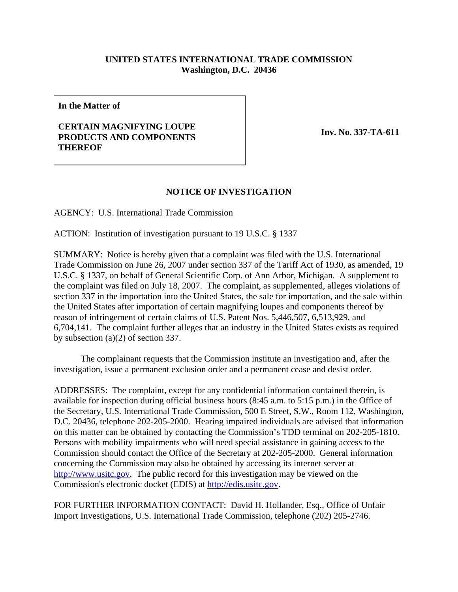## **UNITED STATES INTERNATIONAL TRADE COMMISSION Washington, D.C. 20436**

**In the Matter of** 

## **CERTAIN MAGNIFYING LOUPE PRODUCTS AND COMPONENTS THEREOF**

**Inv. No. 337-TA-611**

## **NOTICE OF INVESTIGATION**

AGENCY: U.S. International Trade Commission

ACTION: Institution of investigation pursuant to 19 U.S.C. § 1337

SUMMARY: Notice is hereby given that a complaint was filed with the U.S. International Trade Commission on June 26, 2007 under section 337 of the Tariff Act of 1930, as amended, 19 U.S.C. § 1337, on behalf of General Scientific Corp. of Ann Arbor, Michigan. A supplement to the complaint was filed on July 18, 2007. The complaint, as supplemented, alleges violations of section 337 in the importation into the United States, the sale for importation, and the sale within the United States after importation of certain magnifying loupes and components thereof by reason of infringement of certain claims of U.S. Patent Nos. 5,446,507, 6,513,929, and 6,704,141. The complaint further alleges that an industry in the United States exists as required by subsection (a)(2) of section 337.

The complainant requests that the Commission institute an investigation and, after the investigation, issue a permanent exclusion order and a permanent cease and desist order.

ADDRESSES: The complaint, except for any confidential information contained therein, is available for inspection during official business hours (8:45 a.m. to 5:15 p.m.) in the Office of the Secretary, U.S. International Trade Commission, 500 E Street, S.W., Room 112, Washington, D.C. 20436, telephone 202-205-2000. Hearing impaired individuals are advised that information on this matter can be obtained by contacting the Commission's TDD terminal on 202-205-1810. Persons with mobility impairments who will need special assistance in gaining access to the Commission should contact the Office of the Secretary at 202-205-2000. General information concerning the Commission may also be obtained by accessing its internet server at http://www.usitc.gov. The public record for this investigation may be viewed on the Commission's electronic docket (EDIS) at http://edis.usitc.gov.

FOR FURTHER INFORMATION CONTACT: David H. Hollander, Esq., Office of Unfair Import Investigations, U.S. International Trade Commission, telephone (202) 205-2746.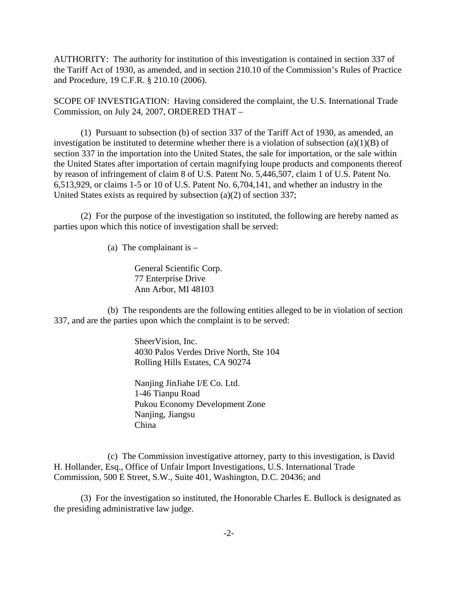AUTHORITY: The authority for institution of this investigation is contained in section 337 of the Tariff Act of 1930, as amended, and in section 210.10 of the Commission's Rules of Practice and Procedure, 19 C.F.R. § 210.10 (2006).

SCOPE OF INVESTIGATION: Having considered the complaint, the U.S. International Trade Commission, on July 24, 2007, ORDERED THAT –

(1) Pursuant to subsection (b) of section 337 of the Tariff Act of 1930, as amended, an investigation be instituted to determine whether there is a violation of subsection  $(a)(1)(B)$  of section 337 in the importation into the United States, the sale for importation, or the sale within the United States after importation of certain magnifying loupe products and components thereof by reason of infringement of claim 8 of U.S. Patent No. 5,446,507, claim 1 of U.S. Patent No. 6,513,929, or claims 1-5 or 10 of U.S. Patent No. 6,704,141, and whether an industry in the United States exists as required by subsection (a)(2) of section 337;

(2) For the purpose of the investigation so instituted, the following are hereby named as parties upon which this notice of investigation shall be served:

(a) The complainant is  $-$ 

General Scientific Corp. 77 Enterprise Drive Ann Arbor, MI 48103

(b) The respondents are the following entities alleged to be in violation of section 337, and are the parties upon which the complaint is to be served:

> SheerVision, Inc. 4030 Palos Verdes Drive North, Ste 104 Rolling Hills Estates, CA 90274

Nanjing JinJiahe I/E Co. Ltd. 1-46 Tianpu Road Pukou Economy Development Zone Nanjing, Jiangsu China

(c) The Commission investigative attorney, party to this investigation, is David H. Hollander, Esq., Office of Unfair Import Investigations, U.S. International Trade Commission, 500 E Street, S.W., Suite 401, Washington, D.C. 20436; and

(3) For the investigation so instituted, the Honorable Charles E. Bullock is designated as the presiding administrative law judge.